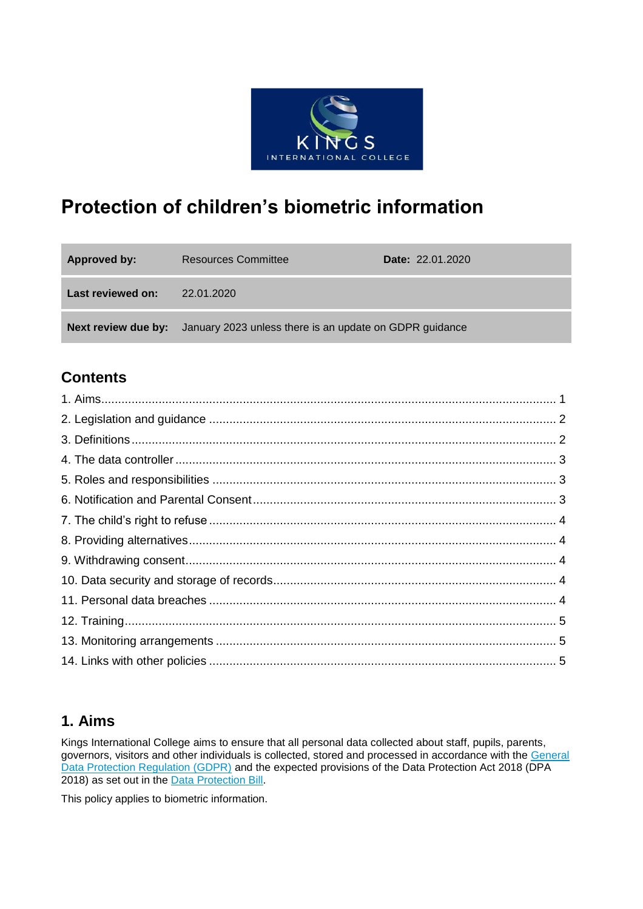

# **Protection of children's biometric information**

| Approved by:      | <b>Resources Committee</b>                                                         | <b>Date: 22.01.2020</b> |
|-------------------|------------------------------------------------------------------------------------|-------------------------|
| Last reviewed on: | 22.01.2020                                                                         |                         |
|                   | <b>Next review due by:</b> January 2023 unless there is an update on GDPR guidance |                         |

### **Contents**

### **1. Aims**

Kings International College aims to ensure that all personal data collected about staff, pupils, parents, governors, visitors and other individuals is collected, stored and processed in accordance with the [General](http://data.consilium.europa.eu/doc/document/ST-5419-2016-INIT/en/pdf)  [Data Protection Regulation \(GDPR\)](http://data.consilium.europa.eu/doc/document/ST-5419-2016-INIT/en/pdf) and the expected provisions of the Data Protection Act 2018 (DPA 2018) as set out in the [Data Protection Bill.](https://publications.parliament.uk/pa/bills/cbill/2017-2019/0153/18153.pdf)

This policy applies to biometric information.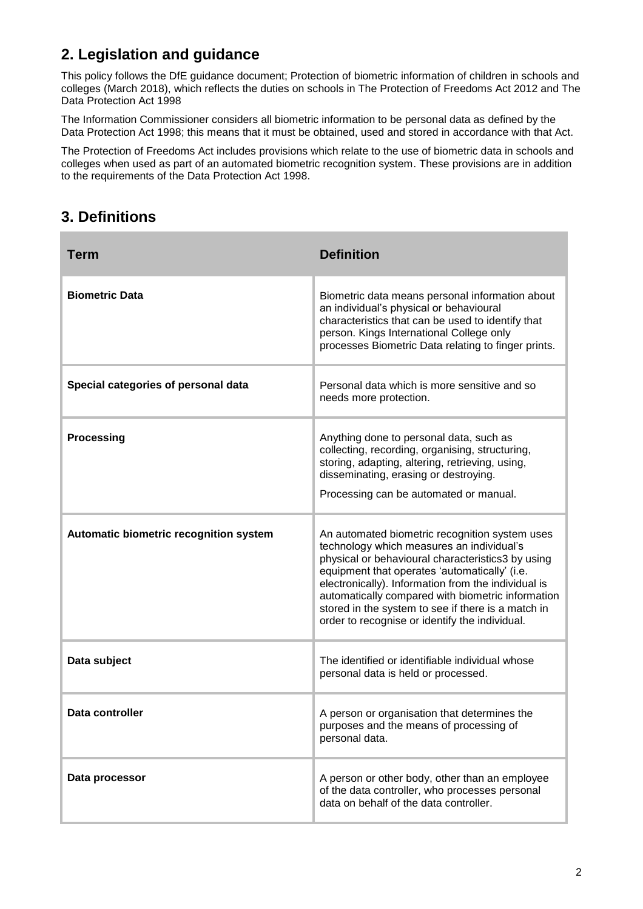# **2. Legislation and guidance**

This policy follows the DfE guidance document; Protection of biometric information of children in schools and colleges (March 2018), which reflects the duties on schools in The Protection of Freedoms Act 2012 and The Data Protection Act 1998

The Information Commissioner considers all biometric information to be personal data as defined by the Data Protection Act 1998; this means that it must be obtained, used and stored in accordance with that Act.

The Protection of Freedoms Act includes provisions which relate to the use of biometric data in schools and colleges when used as part of an automated biometric recognition system. These provisions are in addition to the requirements of the Data Protection Act 1998.

### **3. Definitions**

| <b>Term</b>                            | <b>Definition</b>                                                                                                                                                                                                                                                                                                                                                                                                     |
|----------------------------------------|-----------------------------------------------------------------------------------------------------------------------------------------------------------------------------------------------------------------------------------------------------------------------------------------------------------------------------------------------------------------------------------------------------------------------|
| <b>Biometric Data</b>                  | Biometric data means personal information about<br>an individual's physical or behavioural<br>characteristics that can be used to identify that<br>person. Kings International College only<br>processes Biometric Data relating to finger prints.                                                                                                                                                                    |
| Special categories of personal data    | Personal data which is more sensitive and so<br>needs more protection.                                                                                                                                                                                                                                                                                                                                                |
| <b>Processing</b>                      | Anything done to personal data, such as<br>collecting, recording, organising, structuring,<br>storing, adapting, altering, retrieving, using,<br>disseminating, erasing or destroying.<br>Processing can be automated or manual.                                                                                                                                                                                      |
| Automatic biometric recognition system | An automated biometric recognition system uses<br>technology which measures an individual's<br>physical or behavioural characteristics3 by using<br>equipment that operates 'automatically' (i.e.<br>electronically). Information from the individual is<br>automatically compared with biometric information<br>stored in the system to see if there is a match in<br>order to recognise or identify the individual. |
| Data subject                           | The identified or identifiable individual whose<br>personal data is held or processed.                                                                                                                                                                                                                                                                                                                                |
| Data controller                        | A person or organisation that determines the<br>purposes and the means of processing of<br>personal data.                                                                                                                                                                                                                                                                                                             |
| Data processor                         | A person or other body, other than an employee<br>of the data controller, who processes personal<br>data on behalf of the data controller.                                                                                                                                                                                                                                                                            |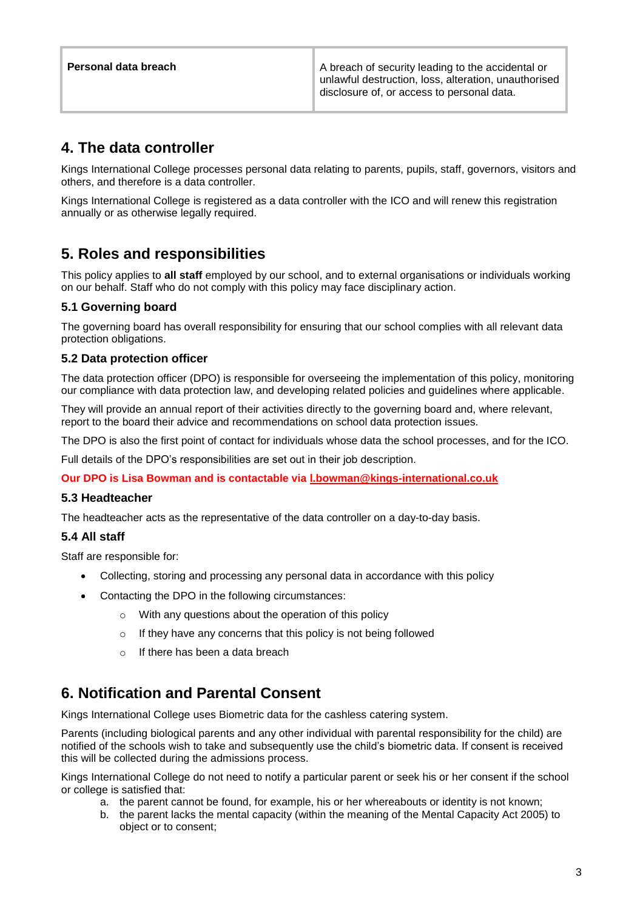**Personal data breach A breach A breach of security leading to the accidental or** unlawful destruction, loss, alteration, unauthorised disclosure of, or access to personal data.

### **4. The data controller**

Kings International College processes personal data relating to parents, pupils, staff, governors, visitors and others, and therefore is a data controller.

Kings International College is registered as a data controller with the ICO and will renew this registration annually or as otherwise legally required.

### **5. Roles and responsibilities**

This policy applies to **all staff** employed by our school, and to external organisations or individuals working on our behalf. Staff who do not comply with this policy may face disciplinary action.

#### **5.1 Governing board**

The governing board has overall responsibility for ensuring that our school complies with all relevant data protection obligations.

#### **5.2 Data protection officer**

The data protection officer (DPO) is responsible for overseeing the implementation of this policy, monitoring our compliance with data protection law, and developing related policies and guidelines where applicable.

They will provide an annual report of their activities directly to the governing board and, where relevant, report to the board their advice and recommendations on school data protection issues.

The DPO is also the first point of contact for individuals whose data the school processes, and for the ICO.

Full details of the DPO's responsibilities are set out in their job description.

**Our DPO is Lisa Bowman and is contactable via [l.bowman@kings-international.co.uk](mailto:l.bowman@kings-international.co.uk)**

#### **5.3 Headteacher**

The headteacher acts as the representative of the data controller on a day-to-day basis.

#### **5.4 All staff**

Staff are responsible for:

- Collecting, storing and processing any personal data in accordance with this policy
- Contacting the DPO in the following circumstances:
	- o With any questions about the operation of this policy
	- o If they have any concerns that this policy is not being followed
	- $\circ$  If there has been a data breach

### **6. Notification and Parental Consent**

Kings International College uses Biometric data for the cashless catering system.

Parents (including biological parents and any other individual with parental responsibility for the child) are notified of the schools wish to take and subsequently use the child's biometric data. If consent is received this will be collected during the admissions process.

Kings International College do not need to notify a particular parent or seek his or her consent if the school or college is satisfied that:

- a. the parent cannot be found, for example, his or her whereabouts or identity is not known;
- b. the parent lacks the mental capacity (within the meaning of the Mental Capacity Act 2005) to object or to consent;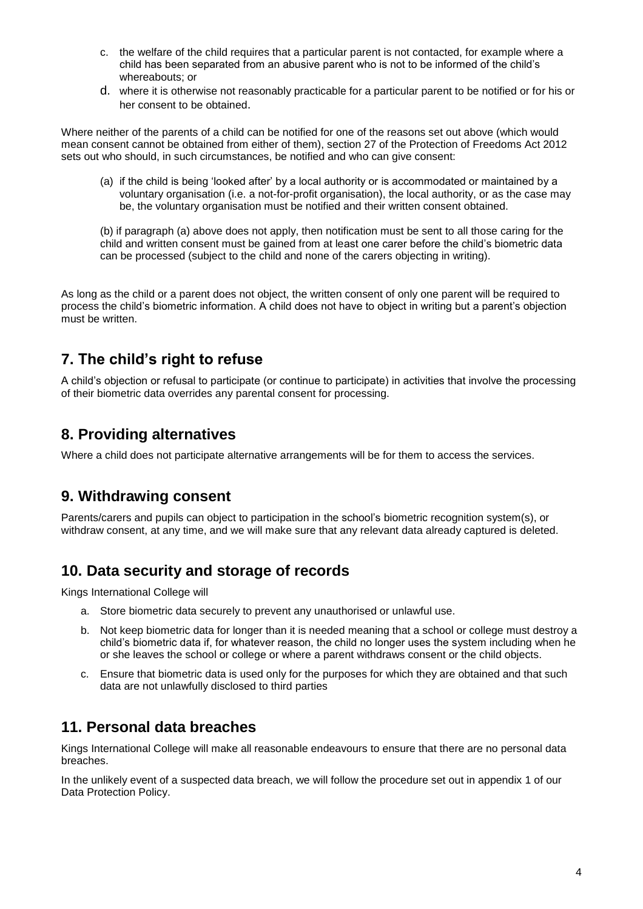- c. the welfare of the child requires that a particular parent is not contacted, for example where a child has been separated from an abusive parent who is not to be informed of the child's whereabouts; or
- d. where it is otherwise not reasonably practicable for a particular parent to be notified or for his or her consent to be obtained.

Where neither of the parents of a child can be notified for one of the reasons set out above (which would mean consent cannot be obtained from either of them), section 27 of the Protection of Freedoms Act 2012 sets out who should, in such circumstances, be notified and who can give consent:

(a) if the child is being 'looked after' by a local authority or is accommodated or maintained by a voluntary organisation (i.e. a not-for-profit organisation), the local authority, or as the case may be, the voluntary organisation must be notified and their written consent obtained.

(b) if paragraph (a) above does not apply, then notification must be sent to all those caring for the child and written consent must be gained from at least one carer before the child's biometric data can be processed (subject to the child and none of the carers objecting in writing).

As long as the child or a parent does not object, the written consent of only one parent will be required to process the child's biometric information. A child does not have to object in writing but a parent's objection must be written.

### **7. The child's right to refuse**

A child's objection or refusal to participate (or continue to participate) in activities that involve the processing of their biometric data overrides any parental consent for processing.

### **8. Providing alternatives**

Where a child does not participate alternative arrangements will be for them to access the services.

### **9. Withdrawing consent**

Parents/carers and pupils can object to participation in the school's biometric recognition system(s), or withdraw consent, at any time, and we will make sure that any relevant data already captured is deleted.

### **10. Data security and storage of records**

Kings International College will

- a. Store biometric data securely to prevent any unauthorised or unlawful use.
- b. Not keep biometric data for longer than it is needed meaning that a school or college must destroy a child's biometric data if, for whatever reason, the child no longer uses the system including when he or she leaves the school or college or where a parent withdraws consent or the child objects.
- c. Ensure that biometric data is used only for the purposes for which they are obtained and that such data are not unlawfully disclosed to third parties

### **11. Personal data breaches**

Kings International College will make all reasonable endeavours to ensure that there are no personal data breaches.

In the unlikely event of a suspected data breach, we will follow the procedure set out in appendix 1 of our Data Protection Policy.